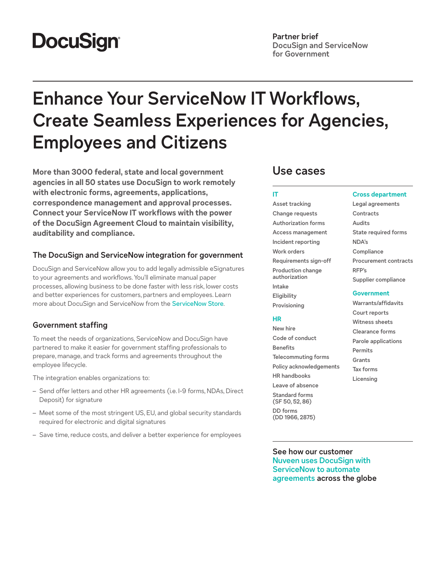# **DocuSign®**

## **Partner brief DocuSign and ServiceNow for Government**

# **Enhance Your ServiceNow IT Workflows, Create Seamless Experiences for Agencies, Employees and Citizens**

**More than 3000 federal, state and local government agencies in all 50 states use DocuSign to work remotely with electronic forms, agreements, applications, correspondence management and approval processes. Connect your ServiceNow IT workflows with the power of the DocuSign Agreement Cloud to maintain visibility, auditability and compliance.**

## **The DocuSign and ServiceNow integration for government**

DocuSign and ServiceNow allow you to add legally admissible eSignatures to your agreements and workflows. You'll eliminate manual paper processes, allowing business to be done faster with less risk, lower costs and better experiences for customers, partners and employees. Learn more about DocuSign and ServiceNow from the [ServiceNow Store](https://store.servicenow.com/sn_appstore_store.do#!/store/home).

## **Government staffing**

To meet the needs of organizations, ServiceNow and DocuSign have partnered to make it easier for government staffing professionals to prepare, manage, and track forms and agreements throughout the employee lifecycle.

The integration enables organizations to:

- Send offer letters and other HR agreements (i.e. I-9 forms, NDAs, Direct Deposit) for signature
- Meet some of the most stringent US, EU, and global security standards required for electronic and digital signatures
- Save time, reduce costs, and deliver a better experience for employees

## **Use cases**

## **IT**

**Asset tracking Change requests Authorization forms Access management Incident reporting Work orders Requirements sign-off Production change authorization Intake Eligibility Provisioning**

#### **HR**

**New hire Code of conduct Benefits Telecommuting forms Policy acknowledgements HR handbooks Leave of absence**

**Standard forms (SF 50, 52, 86)**

**DD forms (DD 1966, 2875)**

## **Cross department**

**Legal agreements Contracts Audits State required forms NDA's Compliance Procurement contracts RFP's Supplier compliance**

#### **Government**

**Warrants/affidavits Court reports Witness sheets Clearance forms Parole applications Permits Grants Tax forms Licensing**

**See how our customer [Nuveen uses DocuSign with](https://www.docusign.co.uk/on-demand-webinar/integrating-servicenow-with-docusign?ECID=23515&elqCampaignId=23515&LS=EMEA-N_DEM_PROS_ServiceNowIntegration_OnDemand_2021-02&utm_campaign=EMEA-N_DEM_PROS_ServiceNowIntegration_OnDemand_2021-02&Channel=DDCUS000022924708&cName=Sales-AEs&utm_medium=email&utm_source=sales)  [ServiceNow to automate](https://www.docusign.co.uk/on-demand-webinar/integrating-servicenow-with-docusign?ECID=23515&elqCampaignId=23515&LS=EMEA-N_DEM_PROS_ServiceNowIntegration_OnDemand_2021-02&utm_campaign=EMEA-N_DEM_PROS_ServiceNowIntegration_OnDemand_2021-02&Channel=DDCUS000022924708&cName=Sales-AEs&utm_medium=email&utm_source=sales)  [agreements](https://www.docusign.co.uk/on-demand-webinar/integrating-servicenow-with-docusign?ECID=23515&elqCampaignId=23515&LS=EMEA-N_DEM_PROS_ServiceNowIntegration_OnDemand_2021-02&utm_campaign=EMEA-N_DEM_PROS_ServiceNowIntegration_OnDemand_2021-02&Channel=DDCUS000022924708&cName=Sales-AEs&utm_medium=email&utm_source=sales) across the globe**